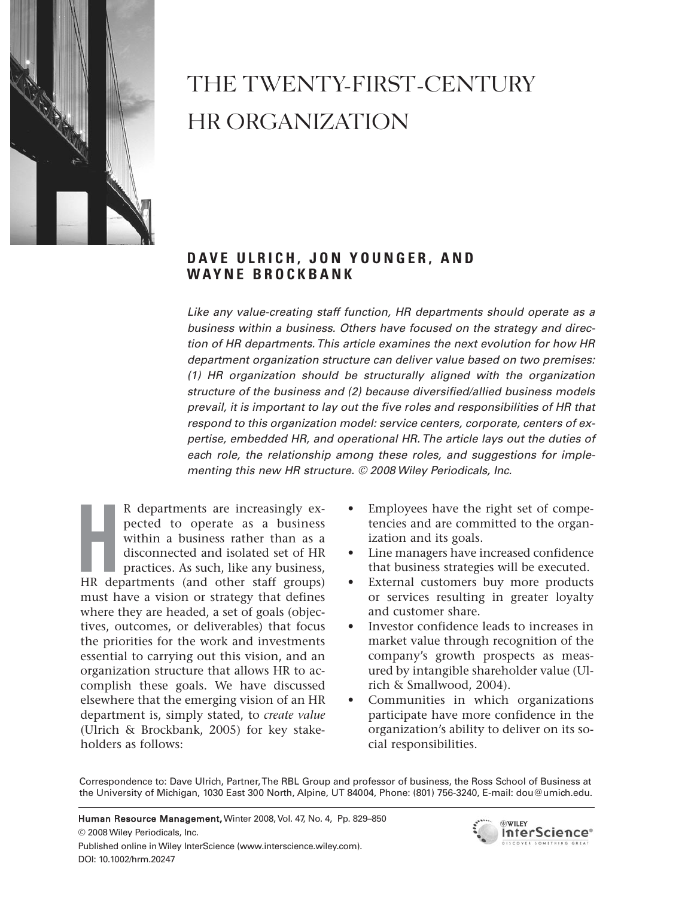

# THE TWENTY-FIRST-CENTURY HR ORGANIZATION

# **DAVE ULRICH, JON YOUNGER, AND WAYNE BROCKBANK**

Like any value-creating staff function, HR departments should operate as a business within a business. Others have focused on the strategy and direction of HR departments. This article examines the next evolution for how HR department organization structure can deliver value based on two premises: (1) HR organization should be structurally aligned with the organization structure of the business and (2) because diversified/allied business models prevail, it is important to lay out the five roles and responsibilities of HR that respond to this organization model: service centers, corporate, centers of expertise, embedded HR, and operational HR. The article lays out the duties of each role, the relationship among these roles, and suggestions for implementing this new HR structure. © 2008 Wiley Periodicals, Inc.

R departments are increasingly expected to operate as a business within a business rather than as a disconnected and isolated set of HR practices. As such, like any business, HR departments (and other staff groups) pected to operate as a business within a business rather than as a disconnected and isolated set of HR practices. As such, like any business, must have a vision or strategy that defines where they are headed, a set of goals (objectives, outcomes, or deliverables) that focus the priorities for the work and investments essential to carrying out this vision, and an organization structure that allows HR to accomplish these goals. We have discussed elsewhere that the emerging vision of an HR department is, simply stated, to *create value* (Ulrich & Brockbank, 2005) for key stakeholders as follows:

- Employees have the right set of competencies and are committed to the organization and its goals.
- Line managers have increased confidence that business strategies will be executed.
- External customers buy more products or services resulting in greater loyalty and customer share.
- Investor confidence leads to increases in market value through recognition of the company's growth prospects as measured by intangible shareholder value (Ulrich & Smallwood, 2004).
- Communities in which organizations participate have more confidence in the organization's ability to deliver on its social responsibilities.

Correspondence to: Dave Ulrich, Partner, The RBL Group and professor of business, the Ross School of Business at the University of Michigan, 1030 East 300 North, Alpine, UT 84004, Phone: (801) 756-3240, E-mail: dou@umich.edu.

Human Resource Management, Winter 2008, Vol. 47, No. 4, Pp. 829–850 © 2008 Wiley Periodicals, Inc. Published online in Wiley InterScience (www.interscience.wiley.com). DOI: 10.1002/hrm.20247

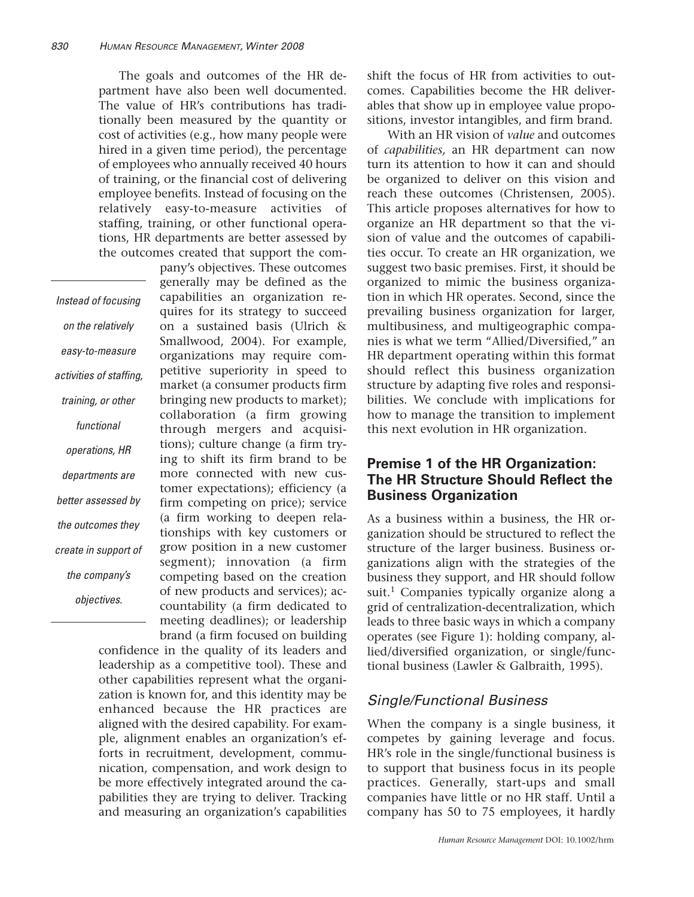The goals and outcomes of the HR department have also been well documented. The value of HR's contributions has traditionally been measured by the quantity or cost of activities (e.g., how many people were hired in a given time period), the percentage of employees who annually received 40 hours of training, or the financial cost of delivering employee benefits. Instead of focusing on the relatively easy-to-measure activities of staffing, training, or other functional operations, HR departments are better assessed by the outcomes created that support the com-

Instead of focusing on the relatively easy-to-measure activities of staffing, training, or other functional operations, HR departments are better assessed by the outcomes they create in support of the company's objectives.

pany's objectives. These outcomes generally may be defined as the capabilities an organization requires for its strategy to succeed on a sustained basis (Ulrich & Smallwood, 2004). For example, organizations may require competitive superiority in speed to market (a consumer products firm bringing new products to market); collaboration (a firm growing through mergers and acquisitions); culture change (a firm trying to shift its firm brand to be more connected with new customer expectations); efficiency (a firm competing on price); service (a firm working to deepen relationships with key customers or grow position in a new customer segment); innovation (a firm competing based on the creation of new products and services); accountability (a firm dedicated to meeting deadlines); or leadership brand (a firm focused on building

confidence in the quality of its leaders and leadership as a competitive tool). These and other capabilities represent what the organization is known for, and this identity may be enhanced because the HR practices are aligned with the desired capability. For example, alignment enables an organization's efforts in recruitment, development, communication, compensation, and work design to be more effectively integrated around the capabilities they are trying to deliver. Tracking and measuring an organization's capabilities

shift the focus of HR from activities to outcomes. Capabilities become the HR deliverables that show up in employee value propositions, investor intangibles, and firm brand.

With an HR vision of *value* and outcomes of *capabilities,* an HR department can now turn its attention to how it can and should be organized to deliver on this vision and reach these outcomes (Christensen, 2005). This article proposes alternatives for how to organize an HR department so that the vision of value and the outcomes of capabilities occur. To create an HR organization, we suggest two basic premises. First, it should be organized to mimic the business organization in which HR operates. Second, since the prevailing business organization for larger, multibusiness, and multigeographic companies is what we term "Allied/Diversified," an HR department operating within this format should reflect this business organization structure by adapting five roles and responsibilities. We conclude with implications for how to manage the transition to implement this next evolution in HR organization.

#### **Premise 1 of the HR Organization: The HR Structure Should Reflect the Business Organization**

As a business within a business, the HR organization should be structured to reflect the structure of the larger business. Business organizations align with the strategies of the business they support, and HR should follow suit.<sup>1</sup> Companies typically organize along a grid of centralization-decentralization, which leads to three basic ways in which a company operates (see Figure 1): holding company, allied/diversified organization, or single/functional business (Lawler & Galbraith, 1995).

#### Single/Functional Business

When the company is a single business, it competes by gaining leverage and focus. HR's role in the single/functional business is to support that business focus in its people practices. Generally, start-ups and small companies have little or no HR staff. Until a company has 50 to 75 employees, it hardly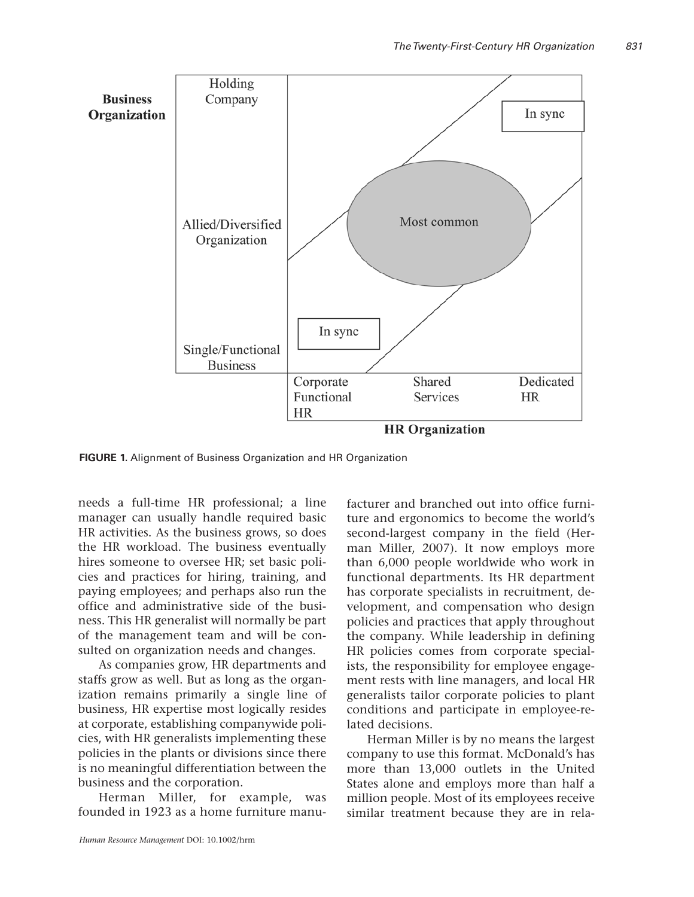

**FIGURE 1.** Alignment of Business Organization and HR Organization

needs a full-time HR professional; a line manager can usually handle required basic HR activities. As the business grows, so does the HR workload. The business eventually hires someone to oversee HR; set basic policies and practices for hiring, training, and paying employees; and perhaps also run the office and administrative side of the business. This HR generalist will normally be part of the management team and will be consulted on organization needs and changes.

As companies grow, HR departments and staffs grow as well. But as long as the organization remains primarily a single line of business, HR expertise most logically resides at corporate, establishing companywide policies, with HR generalists implementing these policies in the plants or divisions since there is no meaningful differentiation between the business and the corporation.

Herman Miller, for example, was founded in 1923 as a home furniture manu-

*Human Resource Management* DOI: 10.1002/hrm

facturer and branched out into office furniture and ergonomics to become the world's second-largest company in the field (Herman Miller, 2007). It now employs more than 6,000 people worldwide who work in functional departments. Its HR department has corporate specialists in recruitment, development, and compensation who design policies and practices that apply throughout the company. While leadership in defining HR policies comes from corporate specialists, the responsibility for employee engagement rests with line managers, and local HR generalists tailor corporate policies to plant conditions and participate in employee-related decisions.

Herman Miller is by no means the largest company to use this format. McDonald's has more than 13,000 outlets in the United States alone and employs more than half a million people. Most of its employees receive similar treatment because they are in rela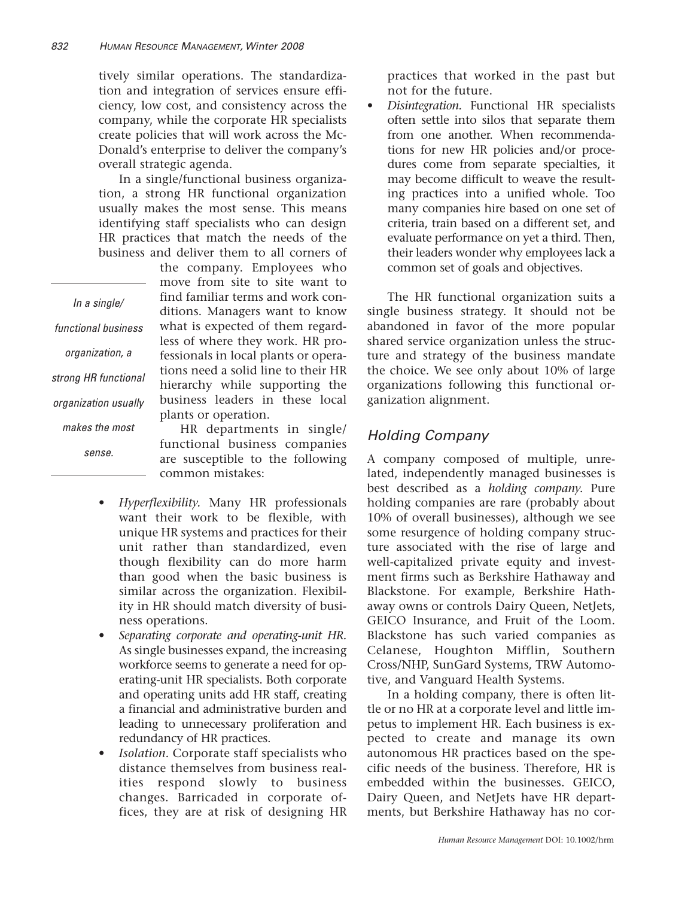tively similar operations. The standardization and integration of services ensure efficiency, low cost, and consistency across the company, while the corporate HR specialists create policies that will work across the Mc-Donald's enterprise to deliver the company's overall strategic agenda.

In a single/functional business organization, a strong HR functional organization usually makes the most sense. This means identifying staff specialists who can design HR practices that match the needs of the business and deliver them to all corners of

In a single/ functional business organization, a strong HR functional organization usually makes the most sense.

the company. Employees who move from site to site want to find familiar terms and work conditions. Managers want to know what is expected of them regardless of where they work. HR professionals in local plants or operations need a solid line to their HR hierarchy while supporting the business leaders in these local plants or operation.

HR departments in single/ functional business companies are susceptible to the following common mistakes:

- *Hyperflexibility.* Many HR professionals want their work to be flexible, with unique HR systems and practices for their unit rather than standardized, even though flexibility can do more harm than good when the basic business is similar across the organization. Flexibility in HR should match diversity of business operations.
- *Separating corporate and operating-unit HR.* As single businesses expand, the increasing workforce seems to generate a need for operating-unit HR specialists. Both corporate and operating units add HR staff, creating a financial and administrative burden and leading to unnecessary proliferation and redundancy of HR practices.
- *Isolation.* Corporate staff specialists who distance themselves from business realities respond slowly to business changes. Barricaded in corporate offices, they are at risk of designing HR

practices that worked in the past but not for the future.

• *Disintegration.* Functional HR specialists often settle into silos that separate them from one another. When recommendations for new HR policies and/or procedures come from separate specialties, it may become difficult to weave the resulting practices into a unified whole. Too many companies hire based on one set of criteria, train based on a different set, and evaluate performance on yet a third. Then, their leaders wonder why employees lack a common set of goals and objectives.

The HR functional organization suits a single business strategy. It should not be abandoned in favor of the more popular shared service organization unless the structure and strategy of the business mandate the choice. We see only about 10% of large organizations following this functional organization alignment.

# Holding Company

A company composed of multiple, unrelated, independently managed businesses is best described as a *holding company.* Pure holding companies are rare (probably about 10% of overall businesses), although we see some resurgence of holding company structure associated with the rise of large and well-capitalized private equity and investment firms such as Berkshire Hathaway and Blackstone. For example, Berkshire Hathaway owns or controls Dairy Queen, NetJets, GEICO Insurance, and Fruit of the Loom. Blackstone has such varied companies as Celanese, Houghton Mifflin, Southern Cross/NHP, SunGard Systems, TRW Automotive, and Vanguard Health Systems.

In a holding company, there is often little or no HR at a corporate level and little impetus to implement HR. Each business is expected to create and manage its own autonomous HR practices based on the specific needs of the business. Therefore, HR is embedded within the businesses. GEICO, Dairy Queen, and NetJets have HR departments, but Berkshire Hathaway has no cor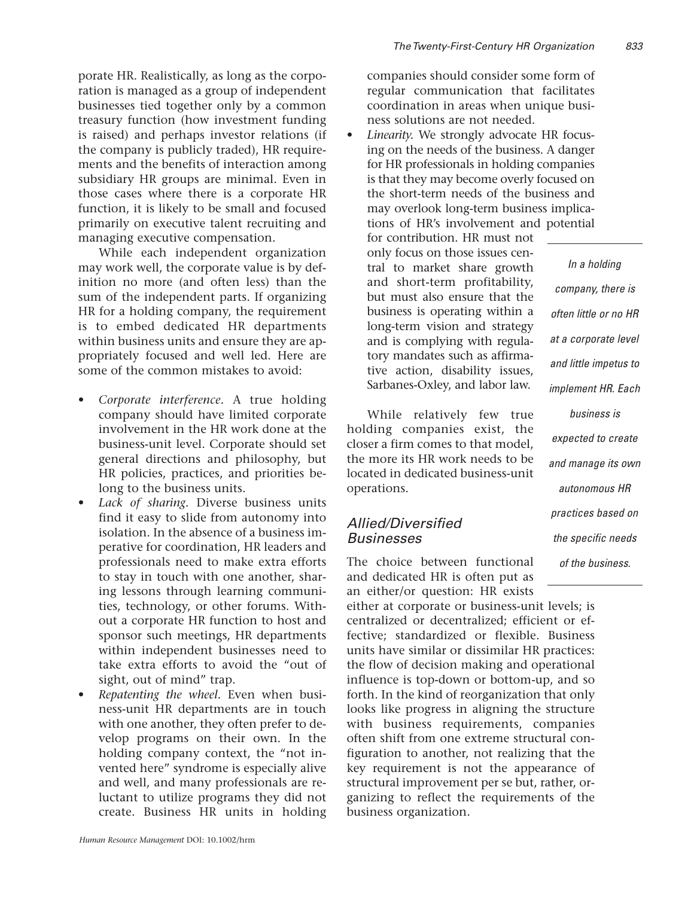porate HR. Realistically, as long as the corporation is managed as a group of independent businesses tied together only by a common treasury function (how investment funding is raised) and perhaps investor relations (if the company is publicly traded), HR requirements and the benefits of interaction among subsidiary HR groups are minimal. Even in those cases where there is a corporate HR function, it is likely to be small and focused primarily on executive talent recruiting and managing executive compensation.

While each independent organization may work well, the corporate value is by definition no more (and often less) than the sum of the independent parts. If organizing HR for a holding company, the requirement is to embed dedicated HR departments within business units and ensure they are appropriately focused and well led. Here are some of the common mistakes to avoid:

- *Corporate interference.* A true holding company should have limited corporate involvement in the HR work done at the business-unit level. Corporate should set general directions and philosophy, but HR policies, practices, and priorities belong to the business units.
- *Lack of sharing.* Diverse business units find it easy to slide from autonomy into isolation. In the absence of a business imperative for coordination, HR leaders and professionals need to make extra efforts to stay in touch with one another, sharing lessons through learning communities, technology, or other forums. Without a corporate HR function to host and sponsor such meetings, HR departments within independent businesses need to take extra efforts to avoid the "out of sight, out of mind" trap.
- *Repatenting the wheel.* Even when business-unit HR departments are in touch with one another, they often prefer to develop programs on their own. In the holding company context, the "not invented here" syndrome is especially alive and well, and many professionals are reluctant to utilize programs they did not create. Business HR units in holding

companies should consider some form of regular communication that facilitates coordination in areas when unique business solutions are not needed.

• *Linearity.* We strongly advocate HR focusing on the needs of the business. A danger for HR professionals in holding companies is that they may become overly focused on the short-term needs of the business and may overlook long-term business implications of HR's involvement and potential

for contribution. HR must not only focus on those issues central to market share growth and short-term profitability, but must also ensure that the business is operating within a long-term vision and strategy and is complying with regulatory mandates such as affirmative action, disability issues, Sarbanes-Oxley, and labor law.

While relatively few true holding companies exist, the closer a firm comes to that model, the more its HR work needs to be located in dedicated business-unit operations.

#### Allied/Diversified Businesses

The choice between functional and dedicated HR is often put as an either/or question: HR exists

either at corporate or business-unit levels; is centralized or decentralized; efficient or effective; standardized or flexible. Business units have similar or dissimilar HR practices: the flow of decision making and operational influence is top-down or bottom-up, and so forth. In the kind of reorganization that only looks like progress in aligning the structure with business requirements, companies often shift from one extreme structural configuration to another, not realizing that the key requirement is not the appearance of structural improvement per se but, rather, organizing to reflect the requirements of the business organization.

In a holding company, there is often little or no HR at a corporate level and little impetus to implement HR. Each business is expected to create and manage its own autonomous HR practices based on the specific needs of the business.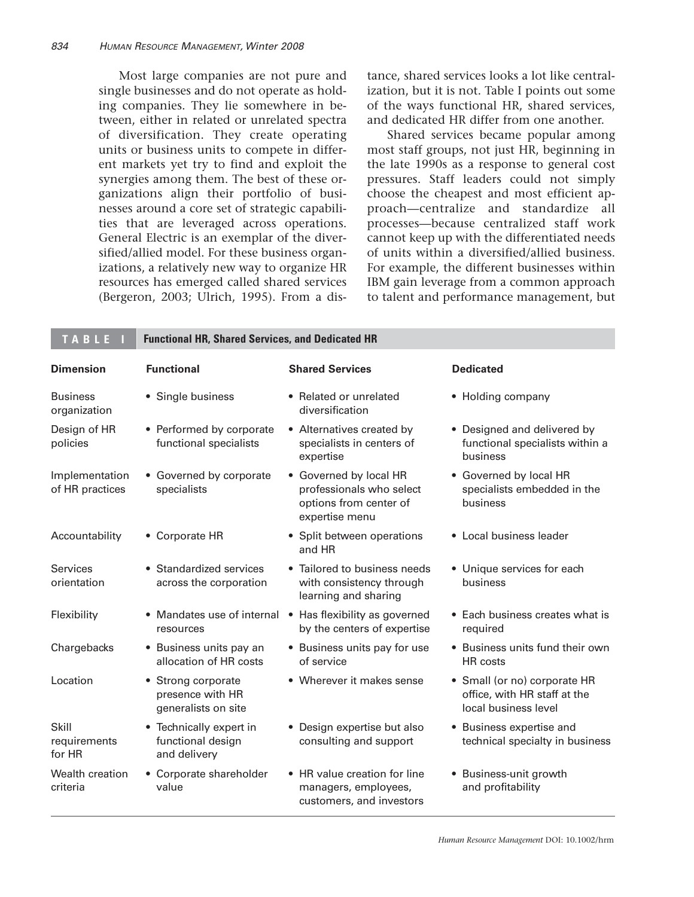Most large companies are not pure and single businesses and do not operate as holding companies. They lie somewhere in between, either in related or unrelated spectra of diversification. They create operating units or business units to compete in different markets yet try to find and exploit the synergies among them. The best of these organizations align their portfolio of businesses around a core set of strategic capabilities that are leveraged across operations. General Electric is an exemplar of the diversified/allied model. For these business organizations, a relatively new way to organize HR resources has emerged called shared services (Bergeron, 2003; Ulrich, 1995). From a distance, shared services looks a lot like centralization, but it is not. Table I points out some of the ways functional HR, shared services, and dedicated HR differ from one another.

Shared services became popular among most staff groups, not just HR, beginning in the late 1990s as a response to general cost pressures. Staff leaders could not simply choose the cheapest and most efficient approach—centralize and standardize all processes—because centralized staff work cannot keep up with the differentiated needs of units within a diversified/allied business. For example, the different businesses within IBM gain leverage from a common approach to talent and performance management, but

| TABLE<br><b>Functional HR, Shared Services, and Dedicated HR</b> |                                                               |                                                                                                |                                                                                      |
|------------------------------------------------------------------|---------------------------------------------------------------|------------------------------------------------------------------------------------------------|--------------------------------------------------------------------------------------|
| <b>Dimension</b>                                                 | <b>Functional</b>                                             | <b>Shared Services</b>                                                                         | <b>Dedicated</b>                                                                     |
| <b>Business</b><br>organization                                  | • Single business                                             | • Related or unrelated<br>diversification                                                      | • Holding company                                                                    |
| Design of HR<br>policies                                         | • Performed by corporate<br>functional specialists            | • Alternatives created by<br>specialists in centers of<br>expertise                            | • Designed and delivered by<br>functional specialists within a<br>business           |
| Implementation<br>of HR practices                                | • Governed by corporate<br>specialists                        | • Governed by local HR<br>professionals who select<br>options from center of<br>expertise menu | • Governed by local HR<br>specialists embedded in the<br>business                    |
| Accountability                                                   | • Corporate HR                                                | • Split between operations<br>and HR                                                           | • Local business leader                                                              |
| Services<br>orientation                                          | • Standardized services<br>across the corporation             | • Tailored to business needs<br>with consistency through<br>learning and sharing               | • Unique services for each<br>business                                               |
| Flexibility                                                      | • Mandates use of internal<br>resources                       | • Has flexibility as governed<br>by the centers of expertise                                   | • Each business creates what is<br>required                                          |
| Chargebacks                                                      | • Business units pay an<br>allocation of HR costs             | • Business units pay for use<br>of service                                                     | • Business units fund their own<br>HR costs                                          |
| Location                                                         | • Strong corporate<br>presence with HR<br>generalists on site | • Wherever it makes sense                                                                      | • Small (or no) corporate HR<br>office, with HR staff at the<br>local business level |
| Skill<br>requirements<br>for HR                                  | • Technically expert in<br>functional design<br>and delivery  | • Design expertise but also<br>consulting and support                                          | • Business expertise and<br>technical specialty in business                          |
| Wealth creation<br>criteria                                      | • Corporate shareholder<br>value                              | • HR value creation for line<br>managers, employees,<br>customers, and investors               | • Business-unit growth<br>and profitability                                          |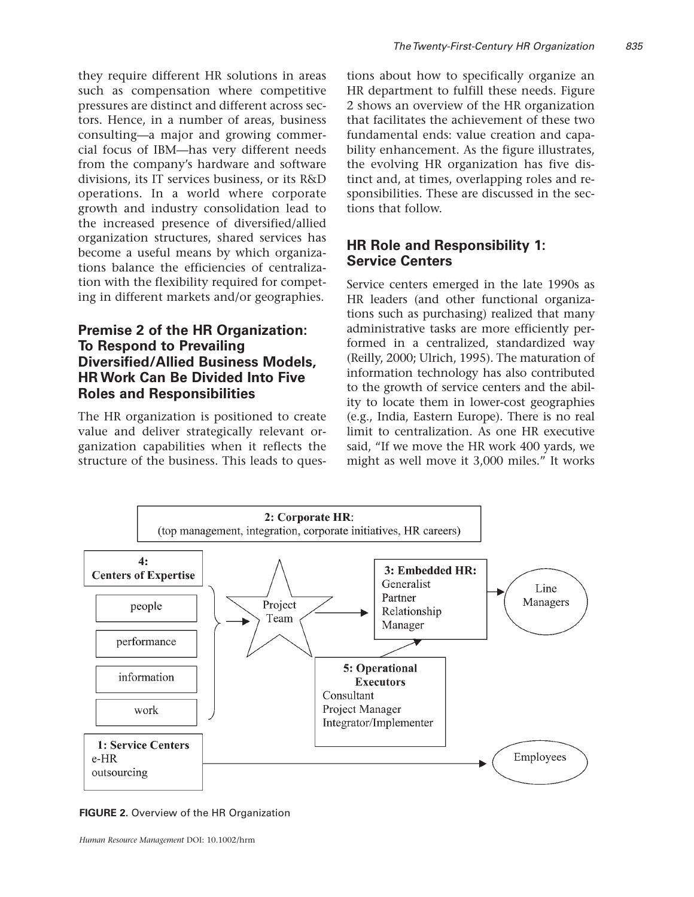they require different HR solutions in areas such as compensation where competitive pressures are distinct and different across sectors. Hence, in a number of areas, business consulting—a major and growing commercial focus of IBM—has very different needs from the company's hardware and software divisions, its IT services business, or its R&D operations. In a world where corporate growth and industry consolidation lead to the increased presence of diversified/allied organization structures, shared services has become a useful means by which organizations balance the efficiencies of centralization with the flexibility required for competing in different markets and/or geographies.

#### **Premise 2 of the HR Organization: To Respond to Prevailing Diversified/Allied Business Models, HR Work Can Be Divided Into Five Roles and Responsibilities**

The HR organization is positioned to create value and deliver strategically relevant organization capabilities when it reflects the structure of the business. This leads to ques-

tions about how to specifically organize an HR department to fulfill these needs. Figure 2 shows an overview of the HR organization that facilitates the achievement of these two fundamental ends: value creation and capability enhancement. As the figure illustrates, the evolving HR organization has five distinct and, at times, overlapping roles and responsibilities. These are discussed in the sections that follow.

#### **HR Role and Responsibility 1: Service Centers**

Service centers emerged in the late 1990s as HR leaders (and other functional organizations such as purchasing) realized that many administrative tasks are more efficiently performed in a centralized, standardized way (Reilly, 2000; Ulrich, 1995). The maturation of information technology has also contributed to the growth of service centers and the ability to locate them in lower-cost geographies (e.g., India, Eastern Europe). There is no real limit to centralization. As one HR executive said, "If we move the HR work 400 yards, we might as well move it 3,000 miles." It works



**FIGURE 2.** Overview of the HR Organization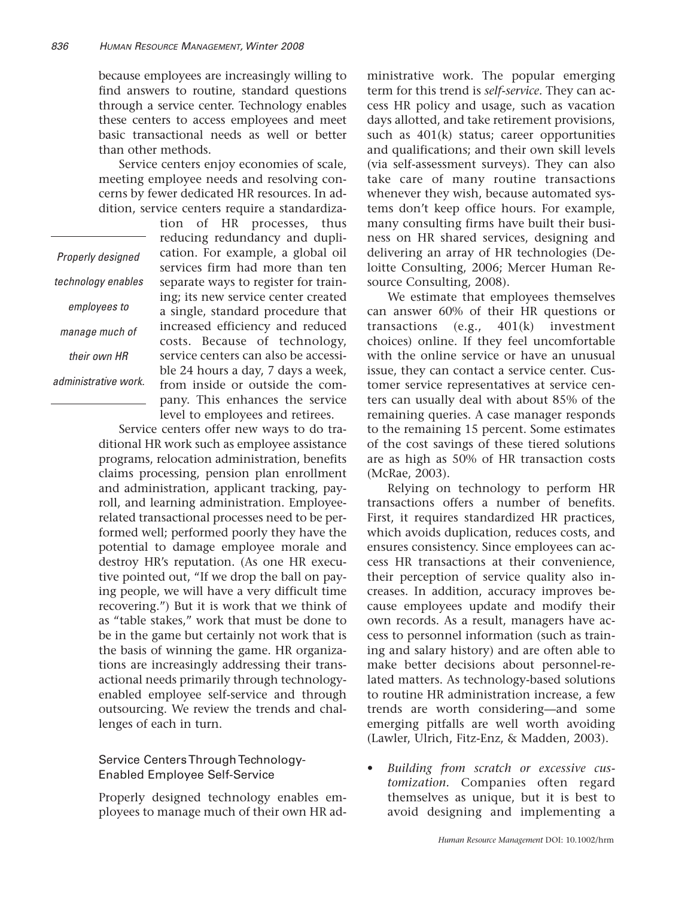because employees are increasingly willing to find answers to routine, standard questions through a service center. Technology enables these centers to access employees and meet basic transactional needs as well or better than other methods.

Service centers enjoy economies of scale, meeting employee needs and resolving concerns by fewer dedicated HR resources. In addition, service centers require a standardiza-

Properly designed technology enables employees to manage much of their own HR administrative work.

tion of HR processes, thus reducing redundancy and duplication. For example, a global oil services firm had more than ten separate ways to register for training; its new service center created a single, standard procedure that increased efficiency and reduced costs. Because of technology, service centers can also be accessible 24 hours a day, 7 days a week, from inside or outside the company. This enhances the service level to employees and retirees.

Service centers offer new ways to do traditional HR work such as employee assistance programs, relocation administration, benefits claims processing, pension plan enrollment and administration, applicant tracking, payroll, and learning administration. Employeerelated transactional processes need to be performed well; performed poorly they have the potential to damage employee morale and destroy HR's reputation. (As one HR executive pointed out, "If we drop the ball on paying people, we will have a very difficult time recovering.") But it is work that we think of as "table stakes," work that must be done to be in the game but certainly not work that is the basis of winning the game. HR organizations are increasingly addressing their transactional needs primarily through technologyenabled employee self-service and through outsourcing. We review the trends and challenges of each in turn.

#### Service Centers Through Technology-Enabled Employee Self-Service

Properly designed technology enables employees to manage much of their own HR administrative work. The popular emerging term for this trend is *self-service.* They can access HR policy and usage, such as vacation days allotted, and take retirement provisions, such as 401(k) status; career opportunities and qualifications; and their own skill levels (via self-assessment surveys). They can also take care of many routine transactions whenever they wish, because automated systems don't keep office hours. For example, many consulting firms have built their business on HR shared services, designing and delivering an array of HR technologies (Deloitte Consulting, 2006; Mercer Human Resource Consulting, 2008).

We estimate that employees themselves can answer 60% of their HR questions or transactions (e.g., 401(k) investment choices) online. If they feel uncomfortable with the online service or have an unusual issue, they can contact a service center. Customer service representatives at service centers can usually deal with about 85% of the remaining queries. A case manager responds to the remaining 15 percent. Some estimates of the cost savings of these tiered solutions are as high as 50% of HR transaction costs (McRae, 2003).

Relying on technology to perform HR transactions offers a number of benefits. First, it requires standardized HR practices, which avoids duplication, reduces costs, and ensures consistency. Since employees can access HR transactions at their convenience, their perception of service quality also increases. In addition, accuracy improves because employees update and modify their own records. As a result, managers have access to personnel information (such as training and salary history) and are often able to make better decisions about personnel-related matters. As technology-based solutions to routine HR administration increase, a few trends are worth considering—and some emerging pitfalls are well worth avoiding (Lawler, Ulrich, Fitz-Enz, & Madden, 2003).

• *Building from scratch or excessive customization.* Companies often regard themselves as unique, but it is best to avoid designing and implementing a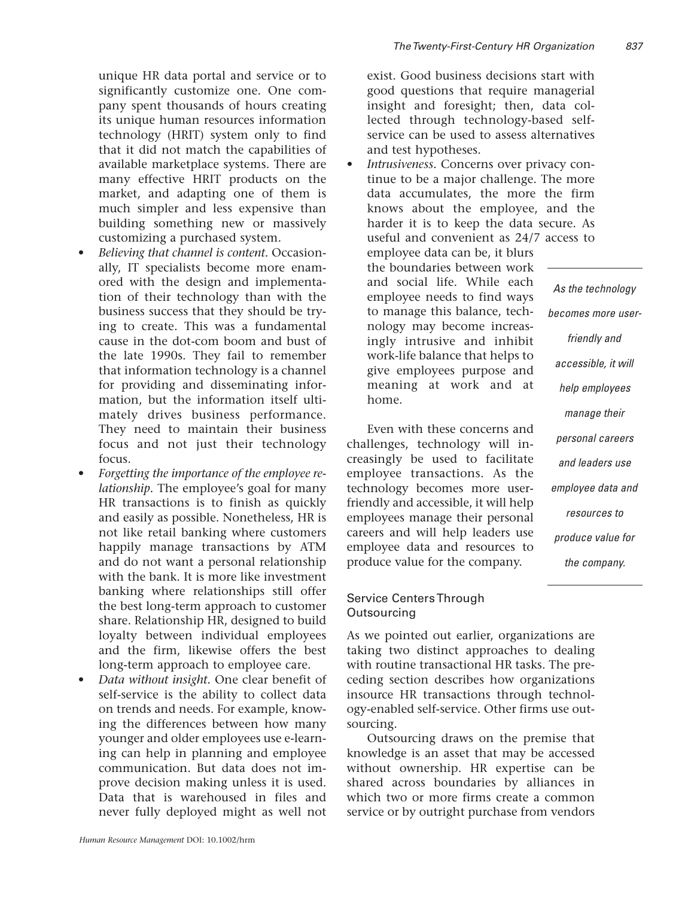unique HR data portal and service or to significantly customize one. One company spent thousands of hours creating its unique human resources information technology (HRIT) system only to find that it did not match the capabilities of available marketplace systems. There are many effective HRIT products on the market, and adapting one of them is much simpler and less expensive than building something new or massively customizing a purchased system.

- *Believing that channel is content.* Occasionally, IT specialists become more enamored with the design and implementation of their technology than with the business success that they should be trying to create. This was a fundamental cause in the dot-com boom and bust of the late 1990s. They fail to remember that information technology is a channel for providing and disseminating information, but the information itself ultimately drives business performance. They need to maintain their business focus and not just their technology focus.
- *Forgetting the importance of the employee relationship.* The employee's goal for many HR transactions is to finish as quickly and easily as possible. Nonetheless, HR is not like retail banking where customers happily manage transactions by ATM and do not want a personal relationship with the bank. It is more like investment banking where relationships still offer the best long-term approach to customer share. Relationship HR, designed to build loyalty between individual employees and the firm, likewise offers the best long-term approach to employee care.
- *Data without insight.* One clear benefit of self-service is the ability to collect data on trends and needs. For example, knowing the differences between how many younger and older employees use e-learning can help in planning and employee communication. But data does not improve decision making unless it is used. Data that is warehoused in files and never fully deployed might as well not

exist. Good business decisions start with good questions that require managerial insight and foresight; then, data collected through technology-based selfservice can be used to assess alternatives and test hypotheses.

• *Intrusiveness.* Concerns over privacy continue to be a major challenge. The more data accumulates, the more the firm knows about the employee, and the harder it is to keep the data secure. As useful and convenient as 24/7 access to employee data can be, it blurs the boundaries between work and social life. While each employee needs to find ways to manage this balance, technology may become increasingly intrusive and inhibit work-life balance that helps to give employees purpose and meaning at work and at home.

Even with these concerns and challenges, technology will increasingly be used to facilitate employee transactions. As the technology becomes more userfriendly and accessible, it will help employees manage their personal careers and will help leaders use employee data and resources to produce value for the company.

#### Service Centers Through **Outsourcing**

As we pointed out earlier, organizations are taking two distinct approaches to dealing with routine transactional HR tasks. The preceding section describes how organizations insource HR transactions through technology-enabled self-service. Other firms use outsourcing.

Outsourcing draws on the premise that knowledge is an asset that may be accessed without ownership. HR expertise can be shared across boundaries by alliances in which two or more firms create a common service or by outright purchase from vendors

As the technology becomes more userfriendly and accessible, it will help employees manage their personal careers and leaders use employee data and resources to produce value for

the company.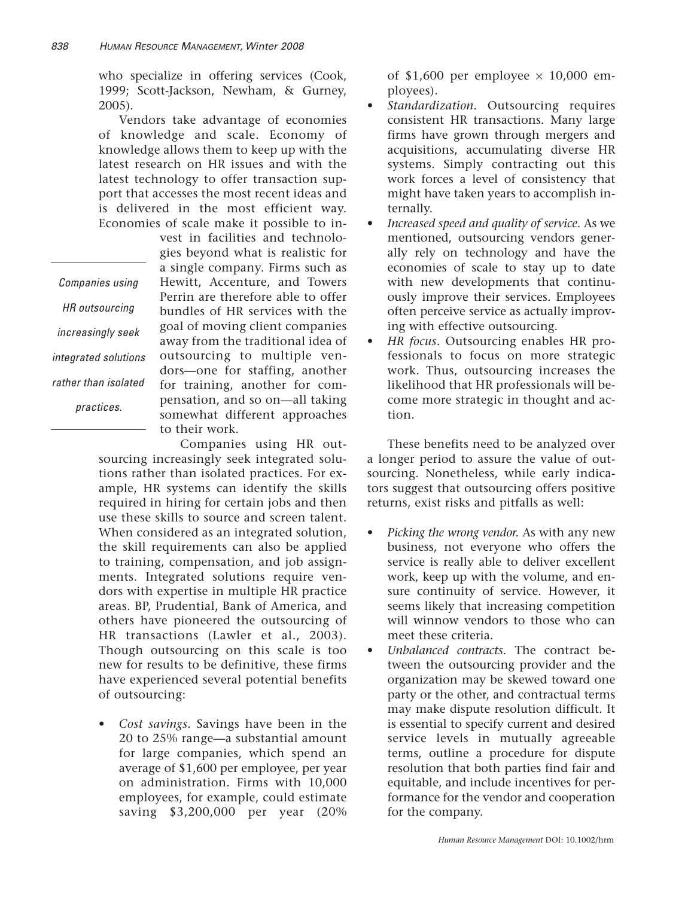who specialize in offering services (Cook, 1999; Scott-Jackson, Newham, & Gurney, 2005).

Vendors take advantage of economies of knowledge and scale. Economy of knowledge allows them to keep up with the latest research on HR issues and with the latest technology to offer transaction support that accesses the most recent ideas and is delivered in the most efficient way. Economies of scale make it possible to in-

Companies using HR outsourcing increasingly seek integrated solutions rather than isolated practices.

vest in facilities and technologies beyond what is realistic for a single company. Firms such as Hewitt, Accenture, and Towers Perrin are therefore able to offer bundles of HR services with the goal of moving client companies away from the traditional idea of outsourcing to multiple vendors—one for staffing, another for training, another for compensation, and so on—all taking somewhat different approaches to their work.

Companies using HR outsourcing increasingly seek integrated solutions rather than isolated practices. For example, HR systems can identify the skills required in hiring for certain jobs and then use these skills to source and screen talent. When considered as an integrated solution, the skill requirements can also be applied to training, compensation, and job assignments. Integrated solutions require vendors with expertise in multiple HR practice areas. BP, Prudential, Bank of America, and others have pioneered the outsourcing of HR transactions (Lawler et al., 2003). Though outsourcing on this scale is too new for results to be definitive, these firms have experienced several potential benefits of outsourcing:

• *Cost savings.* Savings have been in the 20 to 25% range—a substantial amount for large companies, which spend an average of \$1,600 per employee, per year on administration. Firms with 10,000 employees, for example, could estimate saving \$3,200,000 per year (20%

of \$1,600 per employee  $\times$  10,000 employees).

- *Standardization.* Outsourcing requires consistent HR transactions. Many large firms have grown through mergers and acquisitions, accumulating diverse HR systems. Simply contracting out this work forces a level of consistency that might have taken years to accomplish internally.
- *Increased speed and quality of service.* As we mentioned, outsourcing vendors generally rely on technology and have the economies of scale to stay up to date with new developments that continuously improve their services. Employees often perceive service as actually improving with effective outsourcing.
- *HR focus.* Outsourcing enables HR professionals to focus on more strategic work. Thus, outsourcing increases the likelihood that HR professionals will become more strategic in thought and action.

These benefits need to be analyzed over a longer period to assure the value of outsourcing. Nonetheless, while early indicators suggest that outsourcing offers positive returns, exist risks and pitfalls as well:

- *Picking the wrong vendor.* As with any new business, not everyone who offers the service is really able to deliver excellent work, keep up with the volume, and ensure continuity of service. However, it seems likely that increasing competition will winnow vendors to those who can meet these criteria.
- *Unbalanced contracts.* The contract between the outsourcing provider and the organization may be skewed toward one party or the other, and contractual terms may make dispute resolution difficult. It is essential to specify current and desired service levels in mutually agreeable terms, outline a procedure for dispute resolution that both parties find fair and equitable, and include incentives for performance for the vendor and cooperation for the company.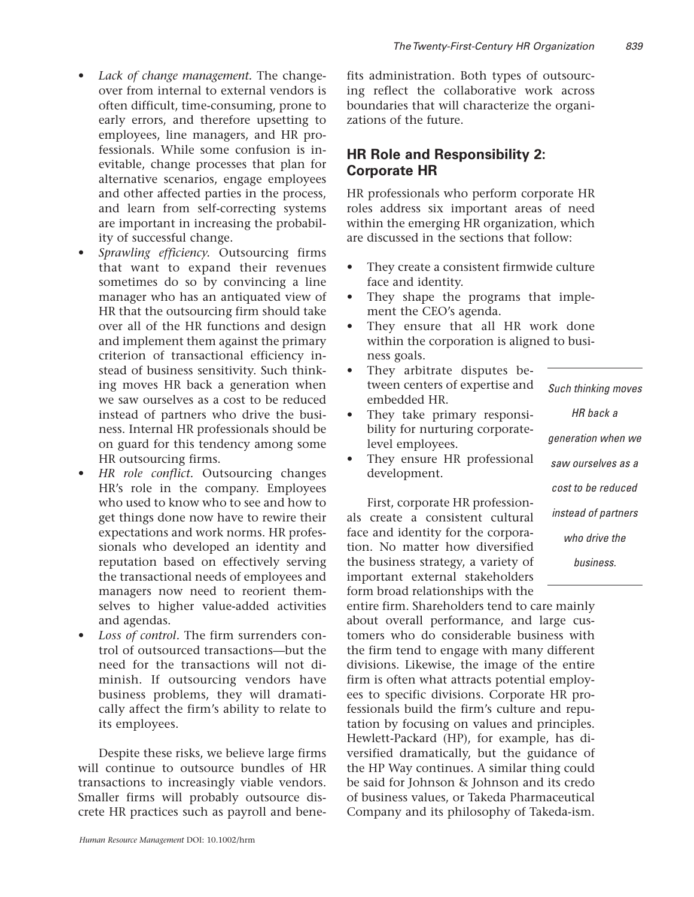- *Lack of change management.* The changeover from internal to external vendors is often difficult, time-consuming, prone to early errors, and therefore upsetting to employees, line managers, and HR professionals. While some confusion is inevitable, change processes that plan for alternative scenarios, engage employees and other affected parties in the process, and learn from self-correcting systems are important in increasing the probability of successful change.
- *Sprawling efficiency.* Outsourcing firms that want to expand their revenues sometimes do so by convincing a line manager who has an antiquated view of HR that the outsourcing firm should take over all of the HR functions and design and implement them against the primary criterion of transactional efficiency instead of business sensitivity. Such thinking moves HR back a generation when we saw ourselves as a cost to be reduced instead of partners who drive the business. Internal HR professionals should be on guard for this tendency among some HR outsourcing firms.
- *HR role conflict.* Outsourcing changes HR's role in the company. Employees who used to know who to see and how to get things done now have to rewire their expectations and work norms. HR professionals who developed an identity and reputation based on effectively serving the transactional needs of employees and managers now need to reorient themselves to higher value-added activities and agendas.
- *Loss of control.* The firm surrenders control of outsourced transactions—but the need for the transactions will not diminish. If outsourcing vendors have business problems, they will dramatically affect the firm's ability to relate to its employees.

Despite these risks, we believe large firms will continue to outsource bundles of HR transactions to increasingly viable vendors. Smaller firms will probably outsource discrete HR practices such as payroll and bene-

fits administration. Both types of outsourcing reflect the collaborative work across boundaries that will characterize the organizations of the future.

#### **HR Role and Responsibility 2: Corporate HR**

HR professionals who perform corporate HR roles address six important areas of need within the emerging HR organization, which are discussed in the sections that follow:

- They create a consistent firmwide culture face and identity.
- They shape the programs that implement the CEO's agenda.
- They ensure that all HR work done within the corporation is aligned to business goals.
- They arbitrate disputes between centers of expertise and embedded HR.
- They take primary responsibility for nurturing corporatelevel employees.
- They ensure HR professional development.

First, corporate HR professionals create a consistent cultural face and identity for the corporation. No matter how diversified the business strategy, a variety of important external stakeholders form broad relationships with the

Such thinking moves HR back a generation when we saw ourselves as a cost to be reduced instead of partners who drive the business.

entire firm. Shareholders tend to care mainly about overall performance, and large customers who do considerable business with the firm tend to engage with many different divisions. Likewise, the image of the entire firm is often what attracts potential employees to specific divisions. Corporate HR professionals build the firm's culture and reputation by focusing on values and principles. Hewlett-Packard (HP), for example, has diversified dramatically, but the guidance of the HP Way continues. A similar thing could be said for Johnson & Johnson and its credo of business values, or Takeda Pharmaceutical Company and its philosophy of Takeda-ism.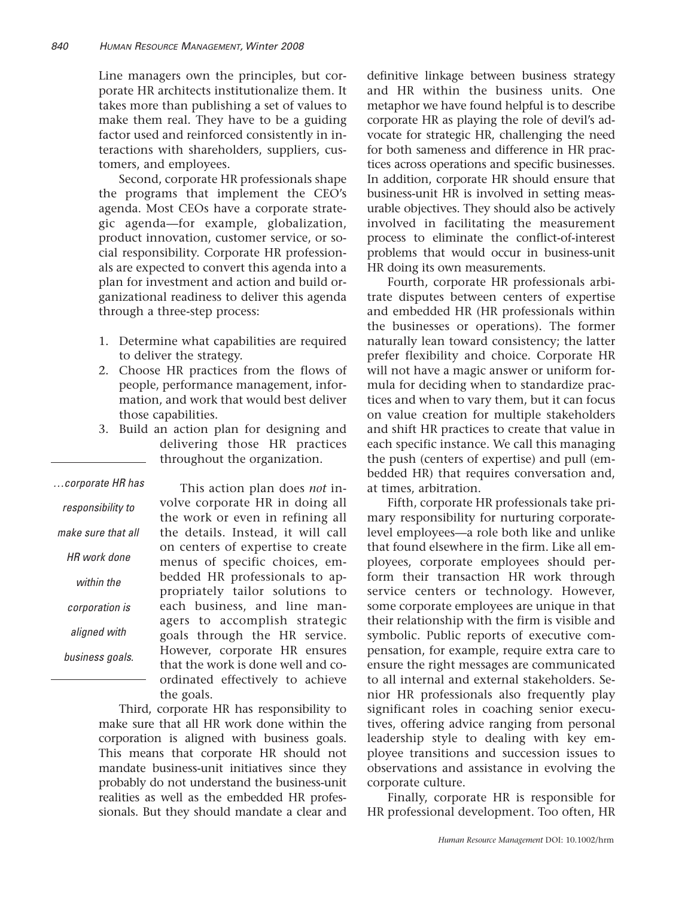Line managers own the principles, but corporate HR architects institutionalize them. It takes more than publishing a set of values to make them real. They have to be a guiding factor used and reinforced consistently in interactions with shareholders, suppliers, customers, and employees.

Second, corporate HR professionals shape the programs that implement the CEO's agenda. Most CEOs have a corporate strategic agenda—for example, globalization, product innovation, customer service, or social responsibility. Corporate HR professionals are expected to convert this agenda into a plan for investment and action and build organizational readiness to deliver this agenda through a three-step process:

- 1. Determine what capabilities are required to deliver the strategy.
- 2. Choose HR practices from the flows of people, performance management, information, and work that would best deliver those capabilities.
- 3. Build an action plan for designing and delivering those HR practices throughout the organization.

…corporate HR has responsibility to make sure that all HR work done within the corporation is aligned with business goals.

This action plan does *not* involve corporate HR in doing all the work or even in refining all the details. Instead, it will call on centers of expertise to create menus of specific choices, embedded HR professionals to appropriately tailor solutions to each business, and line managers to accomplish strategic goals through the HR service. However, corporate HR ensures that the work is done well and coordinated effectively to achieve the goals.

Third, corporate HR has responsibility to make sure that all HR work done within the corporation is aligned with business goals. This means that corporate HR should not mandate business-unit initiatives since they probably do not understand the business-unit realities as well as the embedded HR professionals. But they should mandate a clear and

definitive linkage between business strategy and HR within the business units. One metaphor we have found helpful is to describe corporate HR as playing the role of devil's advocate for strategic HR, challenging the need for both sameness and difference in HR practices across operations and specific businesses. In addition, corporate HR should ensure that business-unit HR is involved in setting measurable objectives. They should also be actively involved in facilitating the measurement process to eliminate the conflict-of-interest problems that would occur in business-unit HR doing its own measurements.

Fourth, corporate HR professionals arbitrate disputes between centers of expertise and embedded HR (HR professionals within the businesses or operations). The former naturally lean toward consistency; the latter prefer flexibility and choice. Corporate HR will not have a magic answer or uniform formula for deciding when to standardize practices and when to vary them, but it can focus on value creation for multiple stakeholders and shift HR practices to create that value in each specific instance. We call this managing the push (centers of expertise) and pull (embedded HR) that requires conversation and, at times, arbitration.

Fifth, corporate HR professionals take primary responsibility for nurturing corporatelevel employees—a role both like and unlike that found elsewhere in the firm. Like all employees, corporate employees should perform their transaction HR work through service centers or technology. However, some corporate employees are unique in that their relationship with the firm is visible and symbolic. Public reports of executive compensation, for example, require extra care to ensure the right messages are communicated to all internal and external stakeholders. Senior HR professionals also frequently play significant roles in coaching senior executives, offering advice ranging from personal leadership style to dealing with key employee transitions and succession issues to observations and assistance in evolving the corporate culture.

Finally, corporate HR is responsible for HR professional development. Too often, HR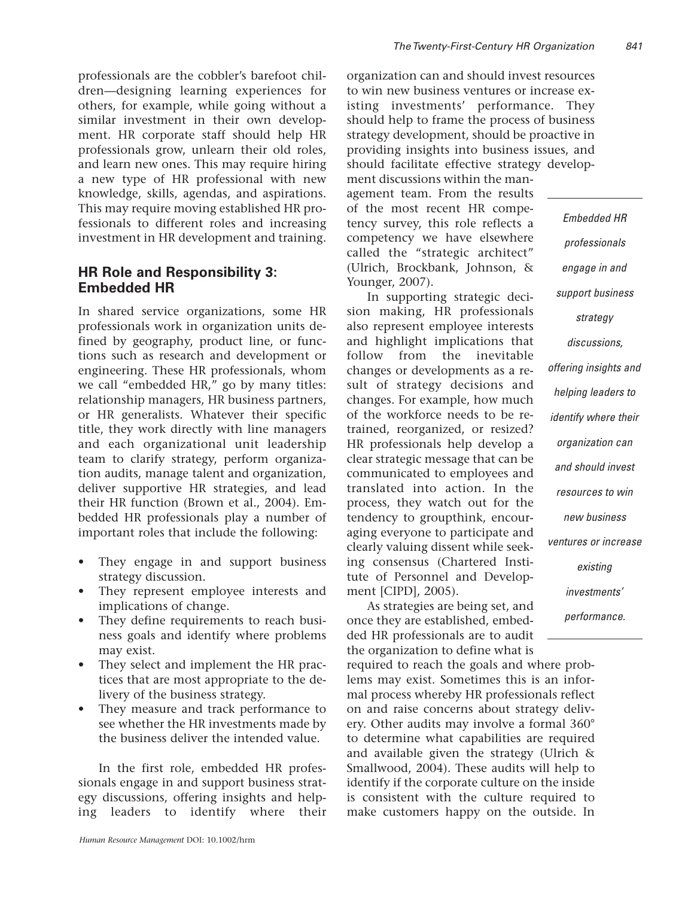professionals are the cobbler's barefoot children—designing learning experiences for others, for example, while going without a similar investment in their own development. HR corporate staff should help HR professionals grow, unlearn their old roles, and learn new ones. This may require hiring a new type of HR professional with new knowledge, skills, agendas, and aspirations. This may require moving established HR professionals to different roles and increasing investment in HR development and training.

#### **HR Role and Responsibility 3: Embedded HR**

In shared service organizations, some HR professionals work in organization units defined by geography, product line, or functions such as research and development or engineering. These HR professionals, whom we call "embedded HR," go by many titles: relationship managers, HR business partners, or HR generalists. Whatever their specific title, they work directly with line managers and each organizational unit leadership team to clarify strategy, perform organization audits, manage talent and organization, deliver supportive HR strategies, and lead their HR function (Brown et al., 2004). Embedded HR professionals play a number of important roles that include the following:

- They engage in and support business strategy discussion.
- They represent employee interests and implications of change.
- They define requirements to reach business goals and identify where problems may exist.
- They select and implement the HR practices that are most appropriate to the delivery of the business strategy.
- They measure and track performance to see whether the HR investments made by the business deliver the intended value.

In the first role, embedded HR professionals engage in and support business strategy discussions, offering insights and helping leaders to identify where their

organization can and should invest resources to win new business ventures or increase existing investments' performance. They should help to frame the process of business strategy development, should be proactive in providing insights into business issues, and should facilitate effective strategy develop-

ment discussions within the management team. From the results of the most recent HR competency survey, this role reflects a competency we have elsewhere called the "strategic architect" (Ulrich, Brockbank, Johnson, & Younger, 2007).

In supporting strategic decision making, HR professionals also represent employee interests and highlight implications that follow from the inevitable changes or developments as a result of strategy decisions and changes. For example, how much of the workforce needs to be retrained, reorganized, or resized? HR professionals help develop a clear strategic message that can be communicated to employees and translated into action. In the process, they watch out for the tendency to groupthink, encouraging everyone to participate and clearly valuing dissent while seeking consensus (Chartered Institute of Personnel and Development [CIPD], 2005).

As strategies are being set, and once they are established, embedded HR professionals are to audit the organization to define what is

required to reach the goals and where problems may exist. Sometimes this is an informal process whereby HR professionals reflect on and raise concerns about strategy delivery. Other audits may involve a formal 360° to determine what capabilities are required and available given the strategy (Ulrich & Smallwood, 2004). These audits will help to identify if the corporate culture on the inside is consistent with the culture required to make customers happy on the outside. In

Embedded HR professionals engage in and support business strategy discussions, offering insights and helping leaders to identify where their organization can and should invest resources to win new business ventures or increase existing investments' performance.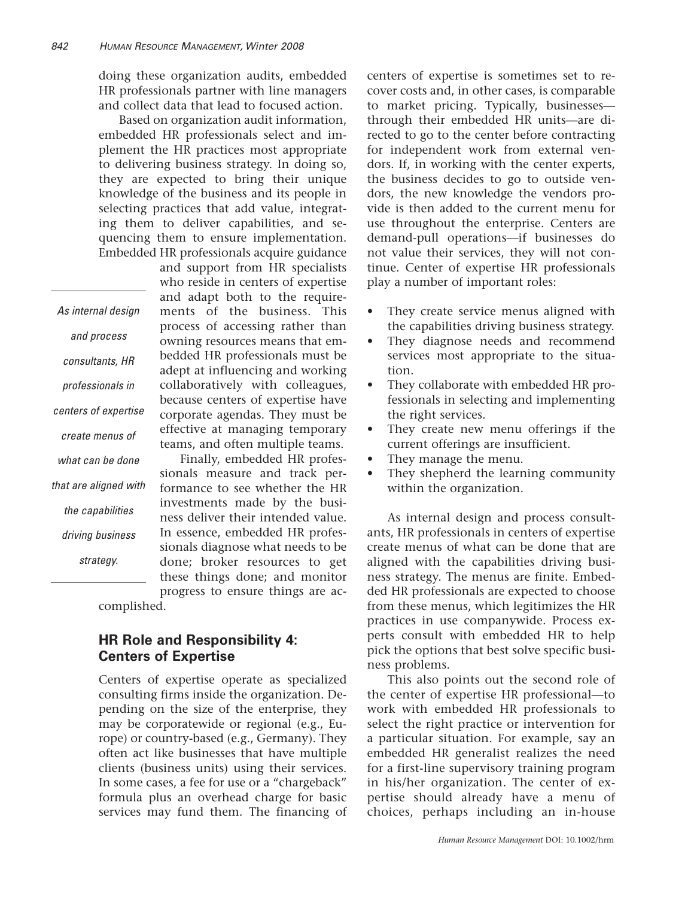doing these organization audits, embedded HR professionals partner with line managers and collect data that lead to focused action.

Based on organization audit information, embedded HR professionals select and implement the HR practices most appropriate to delivering business strategy. In doing so, they are expected to bring their unique knowledge of the business and its people in selecting practices that add value, integrating them to deliver capabilities, and sequencing them to ensure implementation. Embedded HR professionals acquire guidance

As internal design and process consultants, HR professionals in centers of expertise create menus of what can be done that are aligned with the capabilities driving business strategy.

and support from HR specialists who reside in centers of expertise and adapt both to the requirements of the business. This process of accessing rather than owning resources means that embedded HR professionals must be adept at influencing and working collaboratively with colleagues, because centers of expertise have corporate agendas. They must be effective at managing temporary teams, and often multiple teams.

Finally, embedded HR professionals measure and track performance to see whether the HR investments made by the business deliver their intended value. In essence, embedded HR professionals diagnose what needs to be done; broker resources to get these things done; and monitor progress to ensure things are ac-

complished.

# **HR Role and Responsibility 4: Centers of Expertise**

Centers of expertise operate as specialized consulting firms inside the organization. Depending on the size of the enterprise, they may be corporatewide or regional (e.g., Europe) or country-based (e.g., Germany). They often act like businesses that have multiple clients (business units) using their services. In some cases, a fee for use or a "chargeback" formula plus an overhead charge for basic services may fund them. The financing of

centers of expertise is sometimes set to recover costs and, in other cases, is comparable to market pricing. Typically, businesses through their embedded HR units—are directed to go to the center before contracting for independent work from external vendors. If, in working with the center experts, the business decides to go to outside vendors, the new knowledge the vendors provide is then added to the current menu for use throughout the enterprise. Centers are demand-pull operations—if businesses do not value their services, they will not continue. Center of expertise HR professionals play a number of important roles:

- They create service menus aligned with the capabilities driving business strategy.
- They diagnose needs and recommend services most appropriate to the situation.
- They collaborate with embedded HR professionals in selecting and implementing the right services.
- They create new menu offerings if the current offerings are insufficient.
- They manage the menu.
- They shepherd the learning community within the organization.

As internal design and process consultants, HR professionals in centers of expertise create menus of what can be done that are aligned with the capabilities driving business strategy. The menus are finite. Embedded HR professionals are expected to choose from these menus, which legitimizes the HR practices in use companywide. Process experts consult with embedded HR to help pick the options that best solve specific business problems.

This also points out the second role of the center of expertise HR professional—to work with embedded HR professionals to select the right practice or intervention for a particular situation. For example, say an embedded HR generalist realizes the need for a first-line supervisory training program in his/her organization. The center of expertise should already have a menu of choices, perhaps including an in-house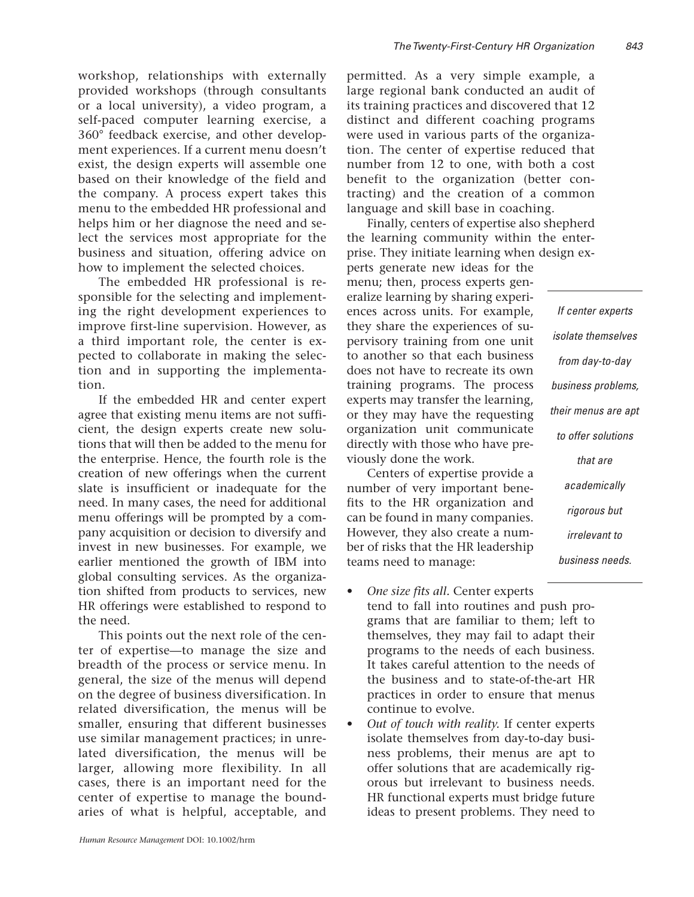workshop, relationships with externally provided workshops (through consultants or a local university), a video program, a self-paced computer learning exercise, a 360° feedback exercise, and other development experiences. If a current menu doesn't exist, the design experts will assemble one based on their knowledge of the field and the company. A process expert takes this menu to the embedded HR professional and helps him or her diagnose the need and select the services most appropriate for the business and situation, offering advice on how to implement the selected choices.

The embedded HR professional is responsible for the selecting and implementing the right development experiences to improve first-line supervision. However, as a third important role, the center is expected to collaborate in making the selection and in supporting the implementation.

If the embedded HR and center expert agree that existing menu items are not sufficient, the design experts create new solutions that will then be added to the menu for the enterprise. Hence, the fourth role is the creation of new offerings when the current slate is insufficient or inadequate for the need. In many cases, the need for additional menu offerings will be prompted by a company acquisition or decision to diversify and invest in new businesses. For example, we earlier mentioned the growth of IBM into global consulting services. As the organization shifted from products to services, new HR offerings were established to respond to the need.

This points out the next role of the center of expertise—to manage the size and breadth of the process or service menu. In general, the size of the menus will depend on the degree of business diversification. In related diversification, the menus will be smaller, ensuring that different businesses use similar management practices; in unrelated diversification, the menus will be larger, allowing more flexibility. In all cases, there is an important need for the center of expertise to manage the boundaries of what is helpful, acceptable, and

permitted. As a very simple example, a large regional bank conducted an audit of its training practices and discovered that 12 distinct and different coaching programs were used in various parts of the organization. The center of expertise reduced that number from 12 to one, with both a cost benefit to the organization (better contracting) and the creation of a common language and skill base in coaching.

Finally, centers of expertise also shepherd the learning community within the enterprise. They initiate learning when design experts generate new ideas for the menu; then, process experts generalize learning by sharing experiences across units. For example, they share the experiences of supervisory training from one unit to another so that each business does not have to recreate its own training programs. The process experts may transfer the learning, or they may have the requesting organization unit communicate directly with those who have previously done the work.

Centers of expertise provide a number of very important benefits to the HR organization and can be found in many companies. However, they also create a number of risks that the HR leadership teams need to manage:

- *One size fits all.* Center experts tend to fall into routines and push programs that are familiar to them; left to themselves, they may fail to adapt their programs to the needs of each business. It takes careful attention to the needs of the business and to state-of-the-art HR practices in order to ensure that menus continue to evolve.
- *Out of touch with reality.* If center experts isolate themselves from day-to-day business problems, their menus are apt to offer solutions that are academically rigorous but irrelevant to business needs. HR functional experts must bridge future ideas to present problems. They need to

If center experts isolate themselves from day-to-day business problems, their menus are apt to offer solutions that are academically rigorous but irrelevant to business needs.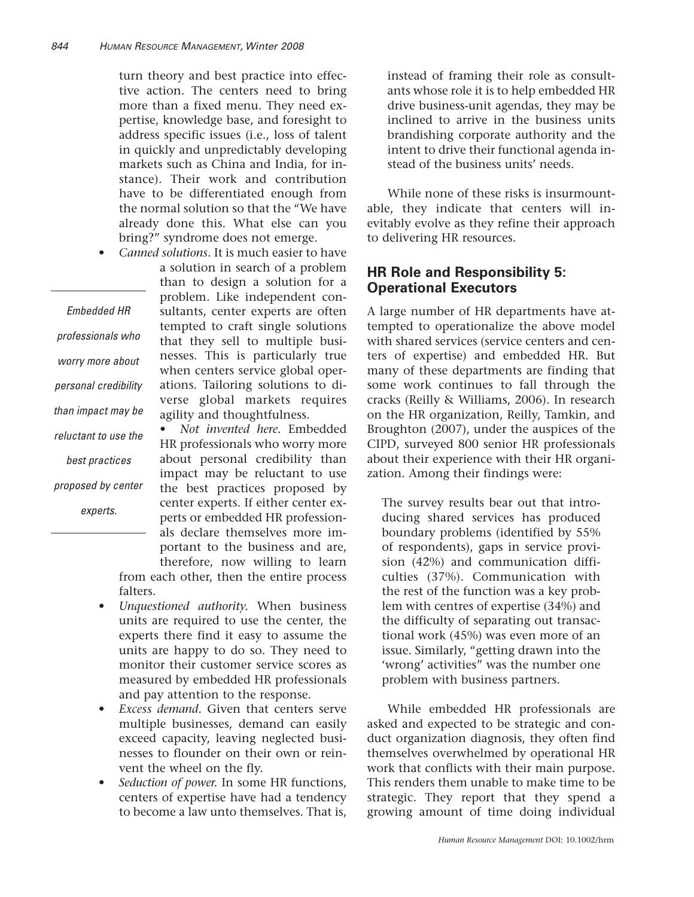turn theory and best practice into effective action. The centers need to bring more than a fixed menu. They need expertise, knowledge base, and foresight to address specific issues (i.e., loss of talent in quickly and unpredictably developing markets such as China and India, for instance). Their work and contribution have to be differentiated enough from the normal solution so that the "We have already done this. What else can you bring?" syndrome does not emerge.

Embedded HR professionals who worry more about personal credibility than impact may be reluctant to use the best practices proposed by center experts.

• *Canned solutions.* It is much easier to have a solution in search of a problem than to design a solution for a problem. Like independent consultants, center experts are often tempted to craft single solutions that they sell to multiple businesses. This is particularly true when centers service global operations. Tailoring solutions to diverse global markets requires agility and thoughtfulness.

• *Not invented here.* Embedded HR professionals who worry more about personal credibility than impact may be reluctant to use the best practices proposed by center experts. If either center experts or embedded HR professionals declare themselves more important to the business and are, therefore, now willing to learn from each other, then the entire process

- falters. • *Unquestioned authority.* When business
- units are required to use the center, the experts there find it easy to assume the units are happy to do so. They need to monitor their customer service scores as measured by embedded HR professionals and pay attention to the response.
- *Excess demand.* Given that centers serve multiple businesses, demand can easily exceed capacity, leaving neglected businesses to flounder on their own or reinvent the wheel on the fly.
- *Seduction of power.* In some HR functions, centers of expertise have had a tendency to become a law unto themselves. That is,

instead of framing their role as consultants whose role it is to help embedded HR drive business-unit agendas, they may be inclined to arrive in the business units brandishing corporate authority and the intent to drive their functional agenda instead of the business units' needs.

While none of these risks is insurmountable, they indicate that centers will inevitably evolve as they refine their approach to delivering HR resources.

# **HR Role and Responsibility 5: Operational Executors**

A large number of HR departments have attempted to operationalize the above model with shared services (service centers and centers of expertise) and embedded HR. But many of these departments are finding that some work continues to fall through the cracks (Reilly & Williams, 2006). In research on the HR organization, Reilly, Tamkin, and Broughton (2007), under the auspices of the CIPD, surveyed 800 senior HR professionals about their experience with their HR organization. Among their findings were:

The survey results bear out that introducing shared services has produced boundary problems (identified by 55% of respondents), gaps in service provision (42%) and communication difficulties (37%). Communication with the rest of the function was a key problem with centres of expertise (34%) and the difficulty of separating out transactional work (45%) was even more of an issue. Similarly, "getting drawn into the 'wrong' activities" was the number one problem with business partners.

While embedded HR professionals are asked and expected to be strategic and conduct organization diagnosis, they often find themselves overwhelmed by operational HR work that conflicts with their main purpose. This renders them unable to make time to be strategic. They report that they spend a growing amount of time doing individual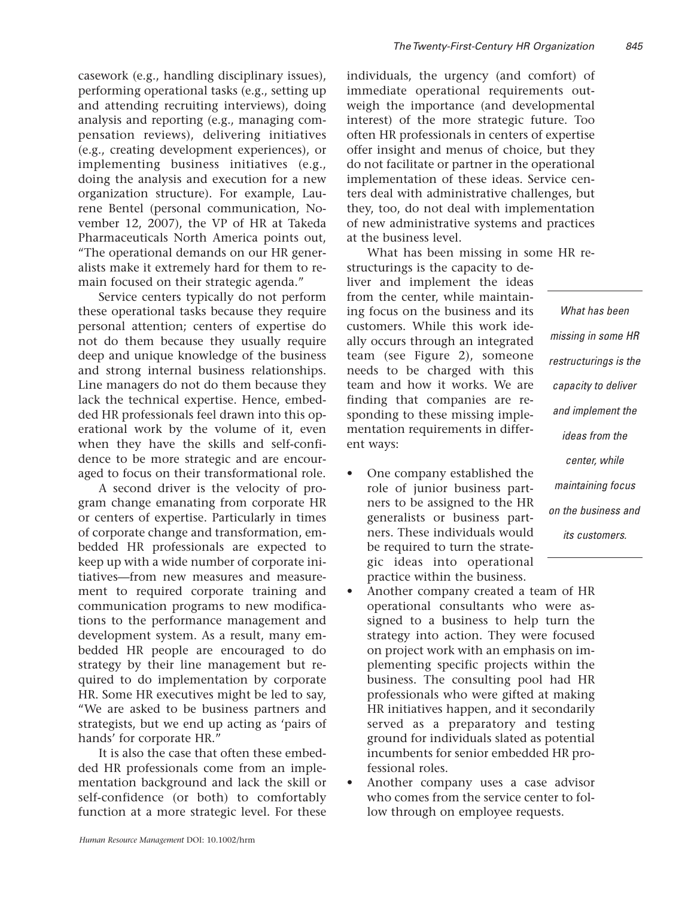casework (e.g., handling disciplinary issues), performing operational tasks (e.g., setting up and attending recruiting interviews), doing analysis and reporting (e.g., managing compensation reviews), delivering initiatives (e.g., creating development experiences), or implementing business initiatives (e.g., doing the analysis and execution for a new organization structure). For example, Laurene Bentel (personal communication, November 12, 2007), the VP of HR at Takeda Pharmaceuticals North America points out, "The operational demands on our HR generalists make it extremely hard for them to remain focused on their strategic agenda."

Service centers typically do not perform these operational tasks because they require personal attention; centers of expertise do not do them because they usually require deep and unique knowledge of the business and strong internal business relationships. Line managers do not do them because they lack the technical expertise. Hence, embedded HR professionals feel drawn into this operational work by the volume of it, even when they have the skills and self-confidence to be more strategic and are encouraged to focus on their transformational role.

A second driver is the velocity of program change emanating from corporate HR or centers of expertise. Particularly in times of corporate change and transformation, embedded HR professionals are expected to keep up with a wide number of corporate initiatives—from new measures and measurement to required corporate training and communication programs to new modifications to the performance management and development system. As a result, many embedded HR people are encouraged to do strategy by their line management but required to do implementation by corporate HR. Some HR executives might be led to say, "We are asked to be business partners and strategists, but we end up acting as 'pairs of hands' for corporate HR."

It is also the case that often these embedded HR professionals come from an implementation background and lack the skill or self-confidence (or both) to comfortably function at a more strategic level. For these

*Human Resource Management* DOI: 10.1002/hrm

individuals, the urgency (and comfort) of immediate operational requirements outweigh the importance (and developmental interest) of the more strategic future. Too often HR professionals in centers of expertise offer insight and menus of choice, but they do not facilitate or partner in the operational implementation of these ideas. Service centers deal with administrative challenges, but they, too, do not deal with implementation of new administrative systems and practices at the business level.

What has been missing in some HR restructurings is the capacity to deliver and implement the ideas from the center, while maintaining focus on the business and its customers. While this work ideally occurs through an integrated team (see Figure 2), someone needs to be charged with this team and how it works. We are finding that companies are responding to these missing implementation requirements in different ways:

- One company established the role of junior business partners to be assigned to the HR generalists or business partners. These individuals would be required to turn the strategic ideas into operational practice within the business.
- Another company created a team of HR operational consultants who were assigned to a business to help turn the strategy into action. They were focused on project work with an emphasis on implementing specific projects within the business. The consulting pool had HR professionals who were gifted at making HR initiatives happen, and it secondarily served as a preparatory and testing ground for individuals slated as potential incumbents for senior embedded HR professional roles.
- Another company uses a case advisor who comes from the service center to follow through on employee requests.

What has been missing in some HR restructurings is the capacity to deliver and implement the ideas from the center, while maintaining focus on the business and its customers.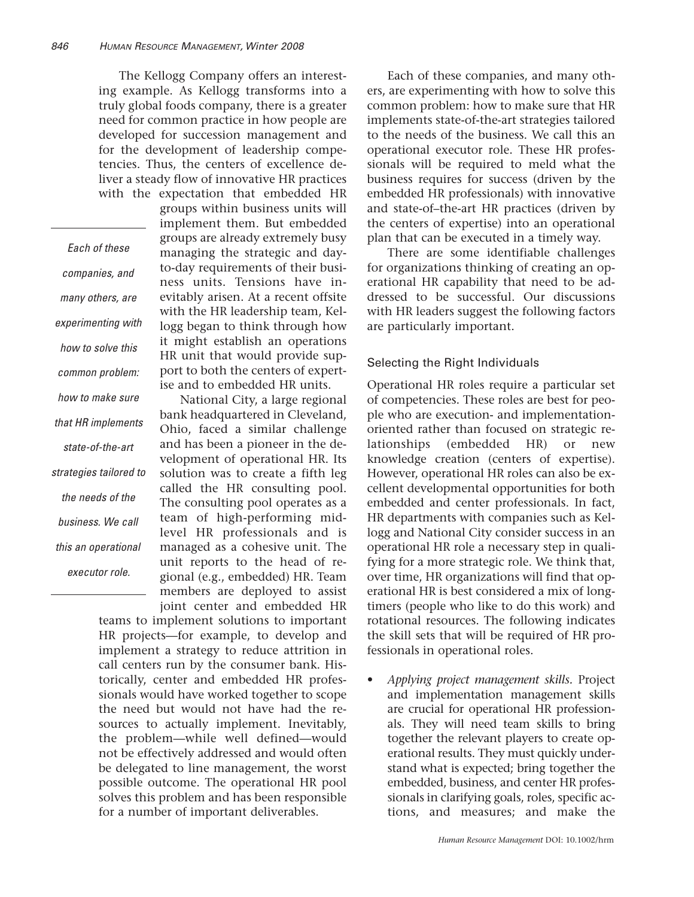The Kellogg Company offers an interesting example. As Kellogg transforms into a truly global foods company, there is a greater need for common practice in how people are developed for succession management and for the development of leadership competencies. Thus, the centers of excellence deliver a steady flow of innovative HR practices with the expectation that embedded HR

Each of these companies, and many others, are experimenting with how to solve this common problem: how to make sure that HR implements state-of-the-art strategies tailored to the needs of the business. We call this an operational executor role.

groups within business units will implement them. But embedded groups are already extremely busy managing the strategic and dayto-day requirements of their business units. Tensions have inevitably arisen. At a recent offsite with the HR leadership team, Kellogg began to think through how it might establish an operations HR unit that would provide support to both the centers of expertise and to embedded HR units.

National City, a large regional bank headquartered in Cleveland, Ohio, faced a similar challenge and has been a pioneer in the development of operational HR. Its solution was to create a fifth leg called the HR consulting pool. The consulting pool operates as a team of high-performing midlevel HR professionals and is managed as a cohesive unit. The unit reports to the head of regional (e.g., embedded) HR. Team members are deployed to assist joint center and embedded HR

teams to implement solutions to important HR projects—for example, to develop and implement a strategy to reduce attrition in call centers run by the consumer bank. Historically, center and embedded HR professionals would have worked together to scope the need but would not have had the resources to actually implement. Inevitably, the problem—while well defined—would not be effectively addressed and would often be delegated to line management, the worst possible outcome. The operational HR pool solves this problem and has been responsible for a number of important deliverables.

Each of these companies, and many others, are experimenting with how to solve this common problem: how to make sure that HR implements state-of-the-art strategies tailored to the needs of the business. We call this an operational executor role. These HR professionals will be required to meld what the business requires for success (driven by the embedded HR professionals) with innovative and state-of–the-art HR practices (driven by the centers of expertise) into an operational plan that can be executed in a timely way.

There are some identifiable challenges for organizations thinking of creating an operational HR capability that need to be addressed to be successful. Our discussions with HR leaders suggest the following factors are particularly important.

#### Selecting the Right Individuals

Operational HR roles require a particular set of competencies. These roles are best for people who are execution- and implementationoriented rather than focused on strategic relationships (embedded HR) or new knowledge creation (centers of expertise). However, operational HR roles can also be excellent developmental opportunities for both embedded and center professionals. In fact, HR departments with companies such as Kellogg and National City consider success in an operational HR role a necessary step in qualifying for a more strategic role. We think that, over time, HR organizations will find that operational HR is best considered a mix of longtimers (people who like to do this work) and rotational resources. The following indicates the skill sets that will be required of HR professionals in operational roles.

• *Applying project management skills.* Project and implementation management skills are crucial for operational HR professionals. They will need team skills to bring together the relevant players to create operational results. They must quickly understand what is expected; bring together the embedded, business, and center HR professionals in clarifying goals, roles, specific actions, and measures; and make the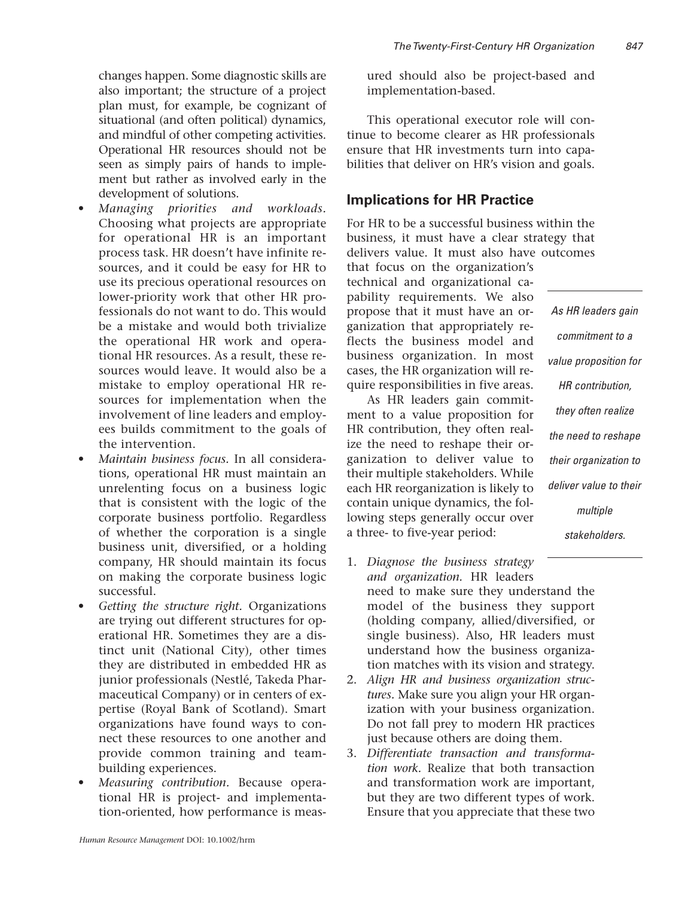changes happen. Some diagnostic skills are also important; the structure of a project plan must, for example, be cognizant of situational (and often political) dynamics, and mindful of other competing activities. Operational HR resources should not be seen as simply pairs of hands to implement but rather as involved early in the development of solutions.

- *Managing priorities and workloads.* Choosing what projects are appropriate for operational HR is an important process task. HR doesn't have infinite resources, and it could be easy for HR to use its precious operational resources on lower-priority work that other HR professionals do not want to do. This would be a mistake and would both trivialize the operational HR work and operational HR resources. As a result, these resources would leave. It would also be a mistake to employ operational HR resources for implementation when the involvement of line leaders and employees builds commitment to the goals of the intervention.
- *Maintain business focus.* In all considerations, operational HR must maintain an unrelenting focus on a business logic that is consistent with the logic of the corporate business portfolio. Regardless of whether the corporation is a single business unit, diversified, or a holding company, HR should maintain its focus on making the corporate business logic successful.
- *Getting the structure right.* Organizations are trying out different structures for operational HR. Sometimes they are a distinct unit (National City), other times they are distributed in embedded HR as junior professionals (Nestlé, Takeda Pharmaceutical Company) or in centers of expertise (Royal Bank of Scotland). Smart organizations have found ways to connect these resources to one another and provide common training and teambuilding experiences.
- *Measuring contribution.* Because operational HR is project- and implementation-oriented, how performance is meas-

ured should also be project-based and implementation-based.

This operational executor role will continue to become clearer as HR professionals ensure that HR investments turn into capabilities that deliver on HR's vision and goals.

#### **Implications for HR Practice**

For HR to be a successful business within the business, it must have a clear strategy that delivers value. It must also have outcomes that focus on the organization's technical and organizational ca-

pability requirements. We also propose that it must have an organization that appropriately reflects the business model and business organization. In most cases, the HR organization will require responsibilities in five areas.

As HR leaders gain commitment to a value proposition for HR contribution, they often realize the need to reshape their organization to deliver value to their multiple stakeholders. While each HR reorganization is likely to contain unique dynamics, the following steps generally occur over a three- to five-year period:

- 1. *Diagnose the business strategy and organization.* HR leaders need to make sure they understand the model of the business they support (holding company, allied/diversified, or single business). Also, HR leaders must understand how the business organization matches with its vision and strategy.
- 2. *Align HR and business organization structures.* Make sure you align your HR organization with your business organization. Do not fall prey to modern HR practices just because others are doing them.
- 3. *Differentiate transaction and transformation work.* Realize that both transaction and transformation work are important, but they are two different types of work. Ensure that you appreciate that these two

commitment to a value proposition for HR contribution, they often realize the need to reshape their organization to deliver value to their multiple stakeholders.

As HR leaders gain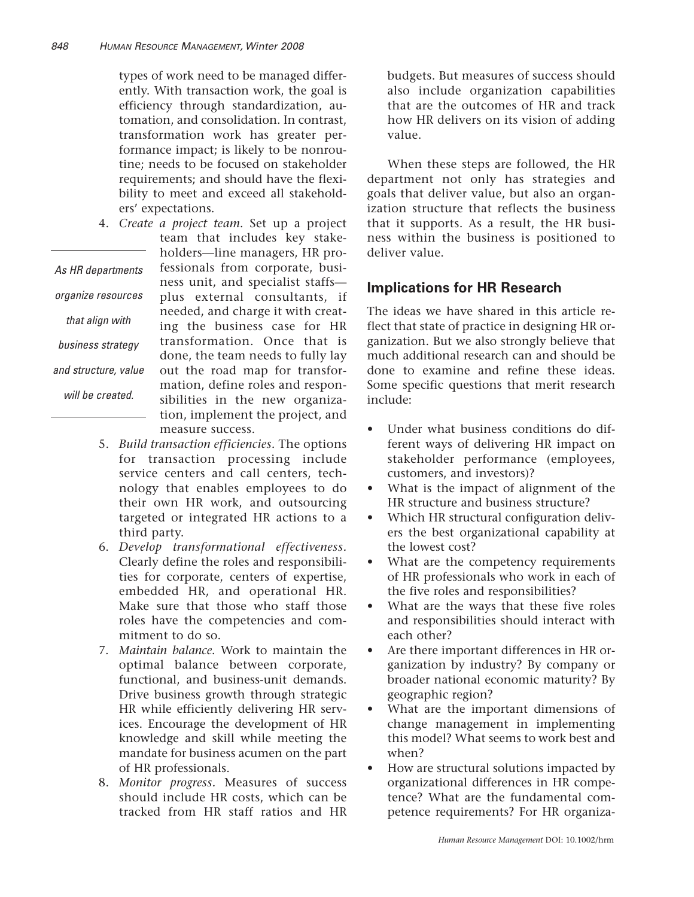types of work need to be managed differently. With transaction work, the goal is efficiency through standardization, automation, and consolidation. In contrast, transformation work has greater performance impact; is likely to be nonroutine; needs to be focused on stakeholder requirements; and should have the flexibility to meet and exceed all stakeholders' expectations.

- 4. *Create a project team.* Set up a project team that includes key stakeholders—line managers, HR professionals from corporate, business unit, and specialist staffs plus external consultants, if needed, and charge it with creating the business case for HR transformation. Once that is done, the team needs to fully lay out the road map for transformation, define roles and responsibilities in the new organization, implement the project, and measure success. As HR departments organize resources that align with business strategy and structure, value will be created.
	- 5. *Build transaction efficiencies.* The options for transaction processing include service centers and call centers, technology that enables employees to do their own HR work, and outsourcing targeted or integrated HR actions to a third party.
	- 6. *Develop transformational effectiveness.* Clearly define the roles and responsibilities for corporate, centers of expertise, embedded HR, and operational HR. Make sure that those who staff those roles have the competencies and commitment to do so.
	- 7. *Maintain balance.* Work to maintain the optimal balance between corporate, functional, and business-unit demands. Drive business growth through strategic HR while efficiently delivering HR services. Encourage the development of HR knowledge and skill while meeting the mandate for business acumen on the part of HR professionals.
	- 8. *Monitor progress.* Measures of success should include HR costs, which can be tracked from HR staff ratios and HR

budgets. But measures of success should also include organization capabilities that are the outcomes of HR and track how HR delivers on its vision of adding value.

When these steps are followed, the HR department not only has strategies and goals that deliver value, but also an organization structure that reflects the business that it supports. As a result, the HR business within the business is positioned to deliver value.

# **Implications for HR Research**

The ideas we have shared in this article reflect that state of practice in designing HR organization. But we also strongly believe that much additional research can and should be done to examine and refine these ideas. Some specific questions that merit research include:

- Under what business conditions do different ways of delivering HR impact on stakeholder performance (employees, customers, and investors)?
- What is the impact of alignment of the HR structure and business structure?
- Which HR structural configuration delivers the best organizational capability at the lowest cost?
- What are the competency requirements of HR professionals who work in each of the five roles and responsibilities?
- What are the ways that these five roles and responsibilities should interact with each other?
- Are there important differences in HR organization by industry? By company or broader national economic maturity? By geographic region?
- What are the important dimensions of change management in implementing this model? What seems to work best and when?
- How are structural solutions impacted by organizational differences in HR competence? What are the fundamental competence requirements? For HR organiza-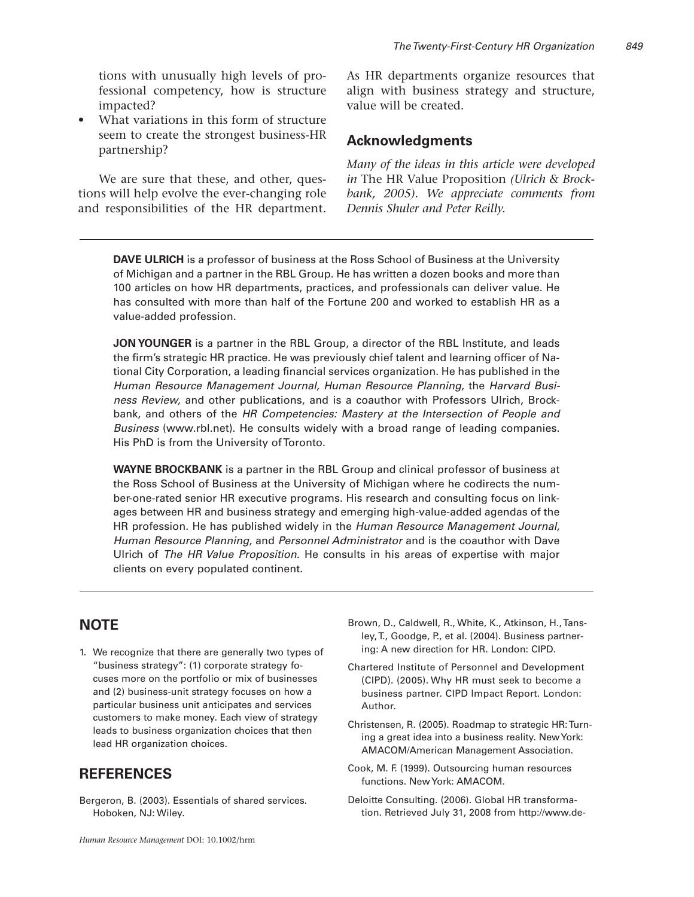tions with unusually high levels of professional competency, how is structure impacted?

• What variations in this form of structure seem to create the strongest business-HR partnership?

We are sure that these, and other, questions will help evolve the ever-changing role and responsibilities of the HR department. As HR departments organize resources that align with business strategy and structure, value will be created.

#### **Acknowledgments**

*Many of the ideas in this article were developed in* The HR Value Proposition *(Ulrich & Brockbank, 2005). We appreciate comments from Dennis Shuler and Peter Reilly.*

**DAVE ULRICH** is a professor of business at the Ross School of Business at the University of Michigan and a partner in the RBL Group. He has written a dozen books and more than 100 articles on how HR departments, practices, and professionals can deliver value. He has consulted with more than half of the Fortune 200 and worked to establish HR as a value-added profession.

**JON YOUNGER** is a partner in the RBL Group, a director of the RBL Institute, and leads the firm's strategic HR practice. He was previously chief talent and learning officer of National City Corporation, a leading financial services organization. He has published in the Human Resource Management Journal, Human Resource Planning, the Harvard Business Review, and other publications, and is a coauthor with Professors Ulrich, Brockbank, and others of the HR Competencies: Mastery at the Intersection of People and Business (www.rbl.net). He consults widely with a broad range of leading companies. His PhD is from the University of Toronto.

**WAYNE BROCKBANK** is a partner in the RBL Group and clinical professor of business at the Ross School of Business at the University of Michigan where he codirects the number-one-rated senior HR executive programs. His research and consulting focus on linkages between HR and business strategy and emerging high-value-added agendas of the HR profession. He has published widely in the Human Resource Management Journal, Human Resource Planning, and Personnel Administrator and is the coauthor with Dave Ulrich of The HR Value Proposition. He consults in his areas of expertise with major clients on every populated continent.

#### **NOTE**

1. We recognize that there are generally two types of "business strategy": (1) corporate strategy focuses more on the portfolio or mix of businesses and (2) business-unit strategy focuses on how a particular business unit anticipates and services customers to make money. Each view of strategy leads to business organization choices that then lead HR organization choices.

#### **REFERENCES**

Bergeron, B. (2003). Essentials of shared services. Hoboken, NJ: Wiley.

- Brown, D., Caldwell, R., White, K., Atkinson, H., Tansley, T., Goodge, P., et al. (2004). Business partnering: A new direction for HR. London: CIPD.
- Chartered Institute of Personnel and Development (CIPD). (2005). Why HR must seek to become a business partner. CIPD Impact Report. London: Author.
- Christensen, R. (2005). Roadmap to strategic HR: Turning a great idea into a business reality. New York: AMACOM/American Management Association.
- Cook, M. F. (1999). Outsourcing human resources functions. New York: AMACOM.
- Deloitte Consulting. (2006). Global HR transformation. Retrieved July 31, 2008 from http://www.de-